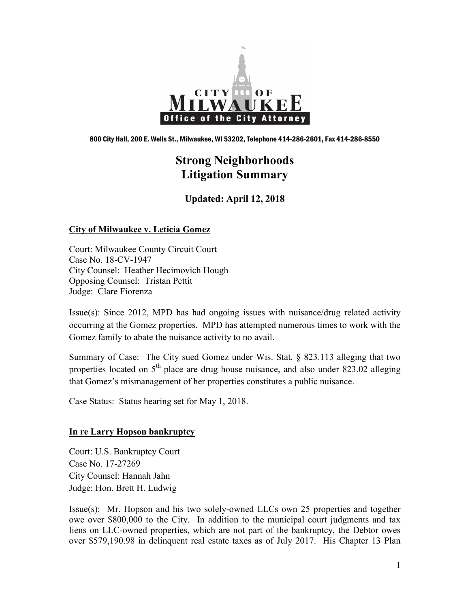

800 City Hall, 200 E. Wells St., Milwaukee, WI 53202, Telephone 414-286-2601, Fax 414-286-8550

# **Strong Neighborhoods Litigation Summary**

**Updated: April 12, 2018**

## **City of Milwaukee v. Leticia Gomez**

Court: Milwaukee County Circuit Court Case No. 18-CV-1947 City Counsel: Heather Hecimovich Hough Opposing Counsel: Tristan Pettit Judge: Clare Fiorenza

Issue(s): Since 2012, MPD has had ongoing issues with nuisance/drug related activity occurring at the Gomez properties. MPD has attempted numerous times to work with the Gomez family to abate the nuisance activity to no avail.

Summary of Case: The City sued Gomez under Wis. Stat. § 823.113 alleging that two properties located on  $5<sup>th</sup>$  place are drug house nuisance, and also under 823.02 alleging that Gomez's mismanagement of her properties constitutes a public nuisance.

Case Status: Status hearing set for May 1, 2018.

# **In re Larry Hopson bankruptcy**

Court: U.S. Bankruptcy Court Case No. 17-27269 City Counsel: Hannah Jahn Judge: Hon. Brett H. Ludwig

Issue(s): Mr. Hopson and his two solely-owned LLCs own 25 properties and together owe over \$800,000 to the City. In addition to the municipal court judgments and tax liens on LLC-owned properties, which are not part of the bankruptcy, the Debtor owes over \$579,190.98 in delinquent real estate taxes as of July 2017. His Chapter 13 Plan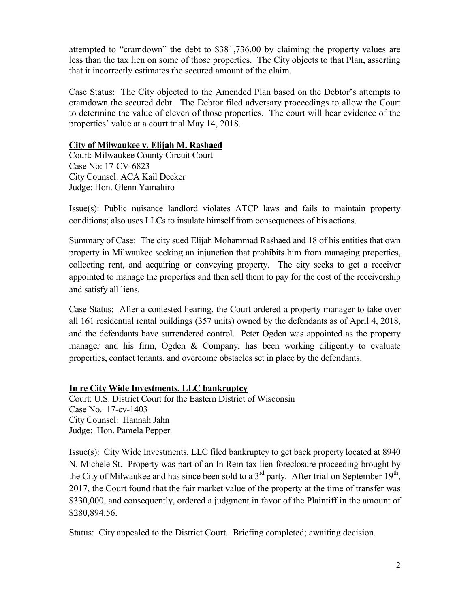attempted to "cramdown" the debt to \$381,736.00 by claiming the property values are less than the tax lien on some of those properties. The City objects to that Plan, asserting that it incorrectly estimates the secured amount of the claim.

Case Status: The City objected to the Amended Plan based on the Debtor's attempts to cramdown the secured debt. The Debtor filed adversary proceedings to allow the Court to determine the value of eleven of those properties. The court will hear evidence of the properties' value at a court trial May 14, 2018.

## **City of Milwaukee v. Elijah M. Rashaed**

Court: Milwaukee County Circuit Court Case No: 17-CV-6823 City Counsel: ACA Kail Decker Judge: Hon. Glenn Yamahiro

Issue(s): Public nuisance landlord violates ATCP laws and fails to maintain property conditions; also uses LLCs to insulate himself from consequences of his actions.

Summary of Case: The city sued Elijah Mohammad Rashaed and 18 of his entities that own property in Milwaukee seeking an injunction that prohibits him from managing properties, collecting rent, and acquiring or conveying property. The city seeks to get a receiver appointed to manage the properties and then sell them to pay for the cost of the receivership and satisfy all liens.

Case Status: After a contested hearing, the Court ordered a property manager to take over all 161 residential rental buildings (357 units) owned by the defendants as of April 4, 2018, and the defendants have surrendered control. Peter Ogden was appointed as the property manager and his firm, Ogden & Company, has been working diligently to evaluate properties, contact tenants, and overcome obstacles set in place by the defendants.

**In re City Wide Investments, LLC bankruptcy** Court: U.S. District Court for the Eastern District of Wisconsin Case No. 17-cv-1403 City Counsel: Hannah Jahn Judge: Hon. Pamela Pepper

Issue(s): City Wide Investments, LLC filed bankruptcy to get back property located at 8940 N. Michele St. Property was part of an In Rem tax lien foreclosure proceeding brought by the City of Milwaukee and has since been sold to a 3<sup>rd</sup> party. After trial on September 19<sup>th</sup>, 2017, the Court found that the fair market value of the property at the time of transfer was \$330,000, and consequently, ordered a judgment in favor of the Plaintiff in the amount of \$280,894.56.

Status: City appealed to the District Court. Briefing completed; awaiting decision.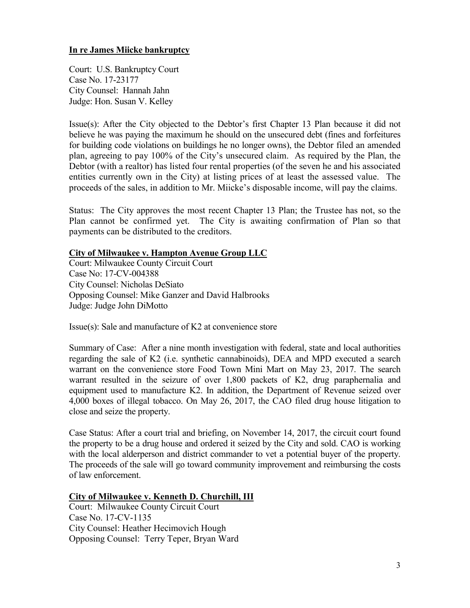## **In re James Miicke bankruptcy**

Court: U.S. Bankruptcy Court Case No. 17-23177 City Counsel: Hannah Jahn Judge: Hon. Susan V. Kelley

Issue(s): After the City objected to the Debtor's first Chapter 13 Plan because it did not believe he was paying the maximum he should on the unsecured debt (fines and forfeitures for building code violations on buildings he no longer owns), the Debtor filed an amended plan, agreeing to pay 100% of the City's unsecured claim. As required by the Plan, the Debtor (with a realtor) has listed four rental properties (of the seven he and his associated entities currently own in the City) at listing prices of at least the assessed value. The proceeds of the sales, in addition to Mr. Miicke's disposable income, will pay the claims.

Status: The City approves the most recent Chapter 13 Plan; the Trustee has not, so the Plan cannot be confirmed yet. The City is awaiting confirmation of Plan so that payments can be distributed to the creditors.

#### **City of Milwaukee v. Hampton Avenue Group LLC**

Court: Milwaukee County Circuit Court Case No: 17-CV-004388 City Counsel: Nicholas DeSiato Opposing Counsel: Mike Ganzer and David Halbrooks Judge: Judge John DiMotto

Issue(s): Sale and manufacture of K2 at convenience store

Summary of Case: After a nine month investigation with federal, state and local authorities regarding the sale of K2 (i.e. synthetic cannabinoids), DEA and MPD executed a search warrant on the convenience store Food Town Mini Mart on May 23, 2017. The search warrant resulted in the seizure of over 1,800 packets of K2, drug paraphernalia and equipment used to manufacture K2. In addition, the Department of Revenue seized over 4,000 boxes of illegal tobacco. On May 26, 2017, the CAO filed drug house litigation to close and seize the property.

Case Status: After a court trial and briefing, on November 14, 2017, the circuit court found the property to be a drug house and ordered it seized by the City and sold. CAO is working with the local alderperson and district commander to vet a potential buyer of the property. The proceeds of the sale will go toward community improvement and reimbursing the costs of law enforcement.

#### **City of Milwaukee v. Kenneth D. Churchill, III**

Court: Milwaukee County Circuit Court Case No. 17-CV-1135 City Counsel: Heather Hecimovich Hough Opposing Counsel: Terry Teper, Bryan Ward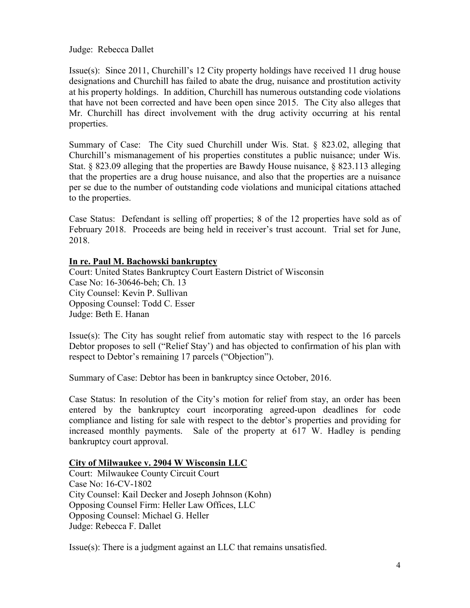Judge: Rebecca Dallet

Issue(s): Since 2011, Churchill's 12 City property holdings have received 11 drug house designations and Churchill has failed to abate the drug, nuisance and prostitution activity at his property holdings. In addition, Churchill has numerous outstanding code violations that have not been corrected and have been open since 2015. The City also alleges that Mr. Churchill has direct involvement with the drug activity occurring at his rental properties.

Summary of Case: The City sued Churchill under Wis. Stat. § 823.02, alleging that Churchill's mismanagement of his properties constitutes a public nuisance; under Wis. Stat. § 823.09 alleging that the properties are Bawdy House nuisance, § 823.113 alleging that the properties are a drug house nuisance, and also that the properties are a nuisance per se due to the number of outstanding code violations and municipal citations attached to the properties.

Case Status: Defendant is selling off properties; 8 of the 12 properties have sold as of February 2018. Proceeds are being held in receiver's trust account. Trial set for June, 2018.

## **In re. Paul M. Bachowski bankruptcy**

Court: United States Bankruptcy Court Eastern District of Wisconsin Case No: 16-30646-beh; Ch. 13 City Counsel: Kevin P. Sullivan Opposing Counsel: Todd C. Esser Judge: Beth E. Hanan

Issue(s): The City has sought relief from automatic stay with respect to the 16 parcels Debtor proposes to sell ("Relief Stay') and has objected to confirmation of his plan with respect to Debtor's remaining 17 parcels ("Objection").

Summary of Case: Debtor has been in bankruptcy since October, 2016.

Case Status: In resolution of the City's motion for relief from stay, an order has been entered by the bankruptcy court incorporating agreed-upon deadlines for code compliance and listing for sale with respect to the debtor's properties and providing for increased monthly payments. Sale of the property at 617 W. Hadley is pending bankruptcy court approval.

#### **City of Milwaukee v. 2904 W Wisconsin LLC**

Court: Milwaukee County Circuit Court Case No: 16-CV-1802 City Counsel: Kail Decker and Joseph Johnson (Kohn) Opposing Counsel Firm: Heller Law Offices, LLC Opposing Counsel: Michael G. Heller Judge: Rebecca F. Dallet

Issue(s): There is a judgment against an LLC that remains unsatisfied.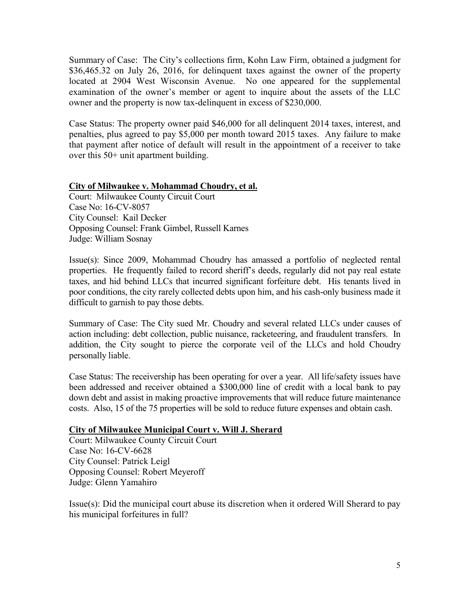Summary of Case: The City's collections firm, Kohn Law Firm, obtained a judgment for \$36,465.32 on July 26, 2016, for delinquent taxes against the owner of the property located at 2904 West Wisconsin Avenue. No one appeared for the supplemental examination of the owner's member or agent to inquire about the assets of the LLC owner and the property is now tax-delinquent in excess of \$230,000.

Case Status: The property owner paid \$46,000 for all delinquent 2014 taxes, interest, and penalties, plus agreed to pay \$5,000 per month toward 2015 taxes. Any failure to make that payment after notice of default will result in the appointment of a receiver to take over this 50+ unit apartment building.

## **City of Milwaukee v. Mohammad Choudry, et al.**

Court: Milwaukee County Circuit Court Case No: 16-CV-8057 City Counsel: Kail Decker Opposing Counsel: Frank Gimbel, Russell Karnes Judge: William Sosnay

Issue(s): Since 2009, Mohammad Choudry has amassed a portfolio of neglected rental properties. He frequently failed to record sheriff's deeds, regularly did not pay real estate taxes, and hid behind LLCs that incurred significant forfeiture debt. His tenants lived in poor conditions, the city rarely collected debts upon him, and his cash-only business made it difficult to garnish to pay those debts.

Summary of Case: The City sued Mr. Choudry and several related LLCs under causes of action including: debt collection, public nuisance, racketeering, and fraudulent transfers. In addition, the City sought to pierce the corporate veil of the LLCs and hold Choudry personally liable.

Case Status: The receivership has been operating for over a year. All life/safety issues have been addressed and receiver obtained a \$300,000 line of credit with a local bank to pay down debt and assist in making proactive improvements that will reduce future maintenance costs. Also, 15 of the 75 properties will be sold to reduce future expenses and obtain cash.

#### **City of Milwaukee Municipal Court v. Will J. Sherard**

Court: Milwaukee County Circuit Court Case No: 16-CV-6628 City Counsel: Patrick Leigl Opposing Counsel: Robert Meyeroff Judge: Glenn Yamahiro

Issue(s): Did the municipal court abuse its discretion when it ordered Will Sherard to pay his municipal forfeitures in full?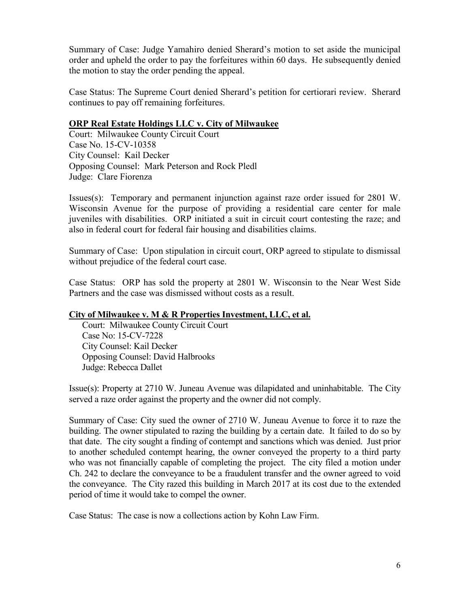Summary of Case: Judge Yamahiro denied Sherard's motion to set aside the municipal order and upheld the order to pay the forfeitures within 60 days. He subsequently denied the motion to stay the order pending the appeal.

Case Status: The Supreme Court denied Sherard's petition for certiorari review. Sherard continues to pay off remaining forfeitures.

# **ORP Real Estate Holdings LLC v. City of Milwaukee**

Court: Milwaukee County Circuit Court Case No. 15-CV-10358 City Counsel: Kail Decker Opposing Counsel: Mark Peterson and Rock Pledl Judge: Clare Fiorenza

Issues(s): Temporary and permanent injunction against raze order issued for 2801 W. Wisconsin Avenue for the purpose of providing a residential care center for male juveniles with disabilities. ORP initiated a suit in circuit court contesting the raze; and also in federal court for federal fair housing and disabilities claims.

Summary of Case: Upon stipulation in circuit court, ORP agreed to stipulate to dismissal without prejudice of the federal court case.

Case Status: ORP has sold the property at 2801 W. Wisconsin to the Near West Side Partners and the case was dismissed without costs as a result.

# **City of Milwaukee v. M & R Properties Investment, LLC, et al.**

 Court: Milwaukee County Circuit Court Case No: 15-CV-7228 City Counsel: Kail Decker Opposing Counsel: David Halbrooks Judge: Rebecca Dallet

Issue(s): Property at 2710 W. Juneau Avenue was dilapidated and uninhabitable. The City served a raze order against the property and the owner did not comply.

Summary of Case: City sued the owner of 2710 W. Juneau Avenue to force it to raze the building. The owner stipulated to razing the building by a certain date. It failed to do so by that date. The city sought a finding of contempt and sanctions which was denied. Just prior to another scheduled contempt hearing, the owner conveyed the property to a third party who was not financially capable of completing the project. The city filed a motion under Ch. 242 to declare the conveyance to be a fraudulent transfer and the owner agreed to void the conveyance. The City razed this building in March 2017 at its cost due to the extended period of time it would take to compel the owner.

Case Status: The case is now a collections action by Kohn Law Firm.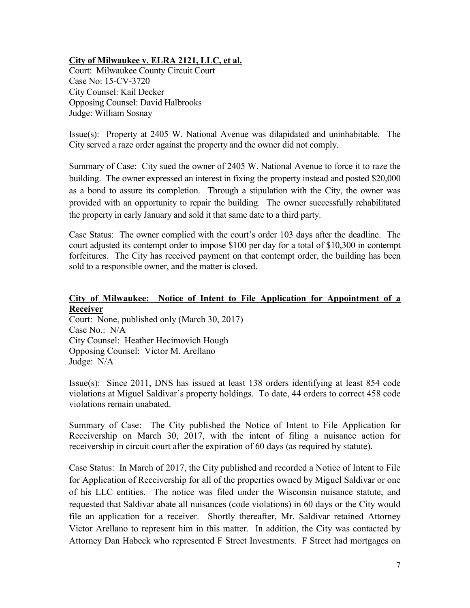# **City of Milwaukee v. ELRA 2121, LLC, et al.**

Court: Milwaukee County Circuit Court Case No: 15-CV-3720 City Counsel: Kail Decker Opposing Counsel: David Halbrooks Judge: William Sosnay

Issue(s): Property at 2405 W. National Avenue was dilapidated and uninhabitable. The City served a raze order against the property and the owner did not comply.

Summary of Case: City sued the owner of 2405 W. National Avenue to force it to raze the building. The owner expressed an interest in fixing the property instead and posted \$20,000 as a bond to assure its completion. Through a stipulation with the City, the owner was provided with an opportunity to repair the building. The owner successfully rehabilitated the property in early January and sold it that same date to a third party.

Case Status: The owner complied with the court's order 103 days after the deadline. The court adjusted its contempt order to impose \$100 per day for a total of \$10,300 in contempt forfeitures. The City has received payment on that contempt order, the building has been sold to a responsible owner, and the matter is closed.

#### **City of Milwaukee: Notice of Intent to File Application for Appointment of a Receiver**

Court: None, published only (March 30, 2017) Case No.: N/A City Counsel: Heather Hecimovich Hough Opposing Counsel: Victor M. Arellano Judge: N/A

Issue(s): Since 2011, DNS has issued at least 138 orders identifying at least 854 code violations at Miguel Saldivar's property holdings. To date, 44 orders to correct 458 code violations remain unabated.

Summary of Case: The City published the Notice of Intent to File Application for Receivership on March 30, 2017, with the intent of filing a nuisance action for receivership in circuit court after the expiration of 60 days (as required by statute).

Case Status: In March of 2017, the City published and recorded a Notice of Intent to File for Application of Receivership for all of the properties owned by Miguel Saldivar or one of his LLC entities. The notice was filed under the Wisconsin nuisance statute, and requested that Saldivar abate all nuisances (code violations) in 60 days or the City would file an application for a receiver. Shortly thereafter, Mr. Saldivar retained Attorney Victor Arellano to represent him in this matter. In addition, the City was contacted by Attorney Dan Habeck who represented F Street Investments. F Street had mortgages on